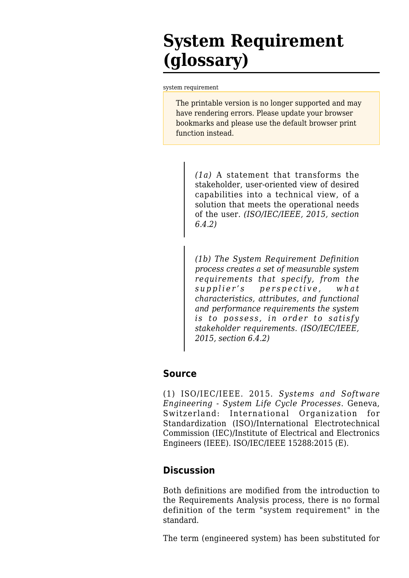## **System Requirement (glossary)**

[system requirement](http://www.sebokwiki.org/wiki/System_Requirement_(glossary))

The printable version is no longer supported and may have rendering errors. Please update your browser bookmarks and please use the default browser print function instead.

> *(1a)* A statement that transforms the stakeholder, user-oriented view of desired capabilities into a technical view, of a solution that meets the operational needs of the user. *(ISO/IEC/IEEE, 2015, section 6.4.2)*

> *(1b) The System Requirement Definition process creates a set of measurable system requirements that specify, from the supplier's perspective, what characteristics, attributes, and functional and performance requirements the system is to possess, in order to satisfy stakeholder requirements. (ISO/IEC/IEEE, 2015, section 6.4.2)*

## **Source**

(1) ISO/IEC/IEEE. 2015. *Systems and Software Engineering - System Life Cycle Processes*. Geneva, Switzerland: International Organization for Standardization (ISO)/International Electrotechnical Commission (IEC)/Institute of Electrical and Electronics Engineers (IEEE). ISO/IEC/IEEE 15288:2015 (E).

## **Discussion**

Both definitions are modified from the introduction to the Requirements Analysis process, there is no formal definition of the term "system requirement" in the standard.

The term (engineered system) has been substituted for